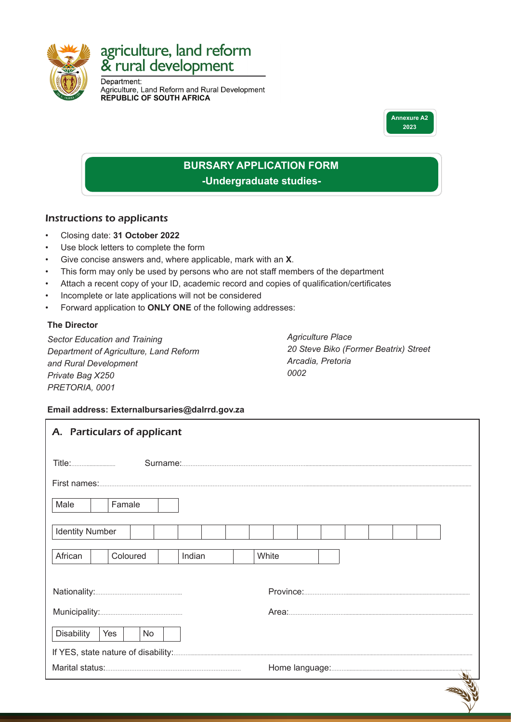

# agriculture, land reform<br>& rural development

Department: Agriculture, Land Reform and Rural Development<br>REPUBLIC OF SOUTH AFRICA



## **BURSARY APPLICATION FORM -Undergraduate studies-**

#### Instructions to applicants

- Closing date: **31 October 2022**
- Use block letters to complete the form
- Give concise answers and, where applicable, mark with an **X**.
- This form may only be used by persons who are not staff members of the department
- Attach a recent copy of your ID, academic record and copies of qualification/certificates
- Incomplete or late applications will not be considered
- Forward application to **ONLY ONE** of the following addresses:

#### **The Director**

*Sector Education and Training Department of Agriculture, Land Reform and Rural Development Private Bag X250 PRETORIA, 0001*

*Agriculture Place 20 Steve Biko (Former Beatrix) Street Arcadia, Pretoria 0002*

#### **Email address: Externalbursaries@dalrrd.gov.za**

|                        |        | A. Particulars of applicant |        |  |       |  |  |  |  |
|------------------------|--------|-----------------------------|--------|--|-------|--|--|--|--|
| <b>Title:</b>          |        |                             |        |  |       |  |  |  |  |
|                        |        |                             |        |  |       |  |  |  |  |
| Male                   | Famale |                             |        |  |       |  |  |  |  |
| <b>Identity Number</b> |        |                             |        |  |       |  |  |  |  |
| African                |        | Coloured                    | Indian |  | White |  |  |  |  |
|                        |        |                             |        |  |       |  |  |  |  |
|                        |        |                             |        |  |       |  |  |  |  |
| <b>Disability</b>      | Yes    | No                          |        |  |       |  |  |  |  |
|                        |        |                             |        |  |       |  |  |  |  |
|                        |        |                             |        |  |       |  |  |  |  |
|                        |        |                             |        |  |       |  |  |  |  |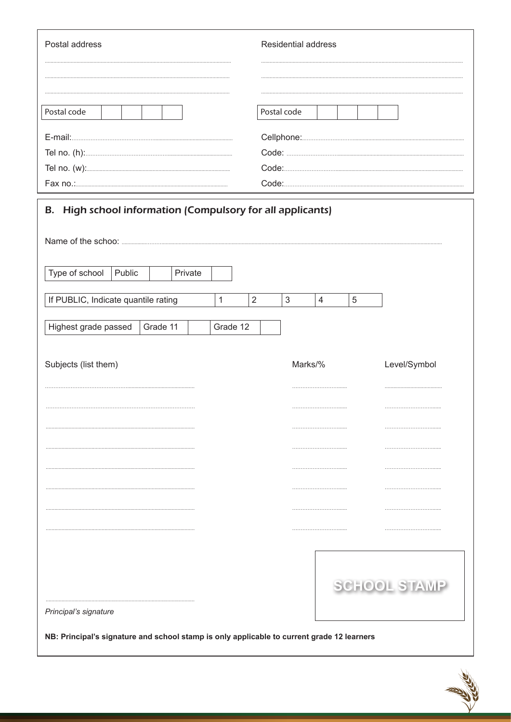| Postal address | Residential address |
|----------------|---------------------|
|                |                     |
|                |                     |
| Postal code    | Postal code         |
|                |                     |
|                |                     |
|                | Code:.              |
|                | Code:               |
|                |                     |

| Type of school                      | Public |          | Private |   |          |                |            |                |            |                     |
|-------------------------------------|--------|----------|---------|---|----------|----------------|------------|----------------|------------|---------------------|
| If PUBLIC, Indicate quantile rating |        |          |         | 1 |          | $\overline{2}$ | $\sqrt{3}$ | $\overline{4}$ | $\sqrt{5}$ |                     |
|                                     |        |          |         |   |          |                |            |                |            |                     |
| Highest grade passed                |        | Grade 11 |         |   | Grade 12 |                |            |                |            |                     |
| Subjects (list them)                |        |          |         |   |          |                | Marks/%    |                |            | Level/Symbol        |
|                                     |        |          |         |   |          |                |            |                |            |                     |
|                                     |        |          |         |   |          |                |            |                |            |                     |
|                                     |        |          |         |   |          |                |            |                |            |                     |
|                                     |        |          |         |   |          |                |            |                |            |                     |
|                                     |        |          |         |   |          |                |            |                |            |                     |
|                                     |        |          |         |   |          |                |            |                |            |                     |
|                                     |        |          |         |   |          |                |            |                |            |                     |
|                                     |        |          |         |   |          |                |            |                |            |                     |
|                                     |        |          |         |   |          |                |            |                |            |                     |
|                                     |        |          |         |   |          |                |            |                |            | <b>SCHOOL STAMP</b> |
|                                     |        |          |         |   |          |                |            |                |            |                     |

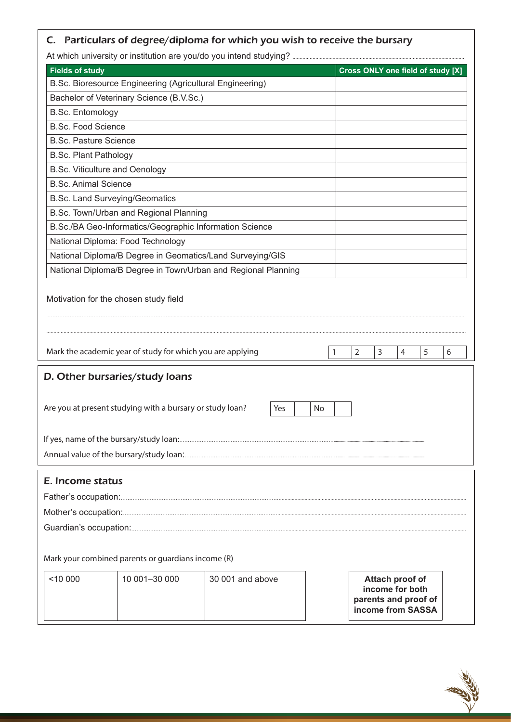## C. Particulars of degree/diploma for which you wish to receive the bursary

At which university or institution are you/do you intend studying?

| <b>Fields of study</b>                |                                                                                                                                                           | $\sim$ which difference on institution are you/do you intend studying: |         |                |                                    | Cross ONLY one field of study [X]         |   |
|---------------------------------------|-----------------------------------------------------------------------------------------------------------------------------------------------------------|------------------------------------------------------------------------|---------|----------------|------------------------------------|-------------------------------------------|---|
|                                       | B.Sc. Bioresource Engineering (Agricultural Engineering)                                                                                                  |                                                                        |         |                |                                    |                                           |   |
|                                       | Bachelor of Veterinary Science (B.V.Sc.)                                                                                                                  |                                                                        |         |                |                                    |                                           |   |
| <b>B.Sc. Entomology</b>               |                                                                                                                                                           |                                                                        |         |                |                                    |                                           |   |
| <b>B.Sc. Food Science</b>             |                                                                                                                                                           |                                                                        |         |                |                                    |                                           |   |
| <b>B.Sc. Pasture Science</b>          |                                                                                                                                                           |                                                                        |         |                |                                    |                                           |   |
| <b>B.Sc. Plant Pathology</b>          |                                                                                                                                                           |                                                                        |         |                |                                    |                                           |   |
| <b>B.Sc. Viticulture and Oenology</b> |                                                                                                                                                           |                                                                        |         |                |                                    |                                           |   |
| <b>B.Sc. Animal Science</b>           |                                                                                                                                                           |                                                                        |         |                |                                    |                                           |   |
| <b>B.Sc. Land Surveying/Geomatics</b> |                                                                                                                                                           |                                                                        |         |                |                                    |                                           |   |
|                                       | B.Sc. Town/Urban and Regional Planning                                                                                                                    |                                                                        |         |                |                                    |                                           |   |
|                                       | B.Sc./BA Geo-Informatics/Geographic Information Science                                                                                                   |                                                                        |         |                |                                    |                                           |   |
|                                       | National Diploma: Food Technology                                                                                                                         |                                                                        |         |                |                                    |                                           |   |
|                                       | National Diploma/B Degree in Geomatics/Land Surveying/GIS                                                                                                 |                                                                        |         |                |                                    |                                           |   |
|                                       |                                                                                                                                                           | National Diploma/B Degree in Town/Urban and Regional Planning          |         |                |                                    |                                           |   |
|                                       | Mark the academic year of study for which you are applying<br>D. Other bursaries/study loans<br>Are you at present studying with a bursary or study loan? | Yes                                                                    | 1<br>No | $\overline{2}$ | 3<br>$\overline{4}$                | 5                                         | 6 |
|                                       |                                                                                                                                                           |                                                                        |         |                |                                    |                                           |   |
| E. Income status                      |                                                                                                                                                           |                                                                        |         |                |                                    |                                           |   |
|                                       | Mark your combined parents or guardians income (R)                                                                                                        |                                                                        |         |                |                                    |                                           |   |
| < 10000                               | 10 001-30 000                                                                                                                                             | 30 001 and above                                                       |         |                | Attach proof of<br>income for both | parents and proof of<br>income from SASSA |   |

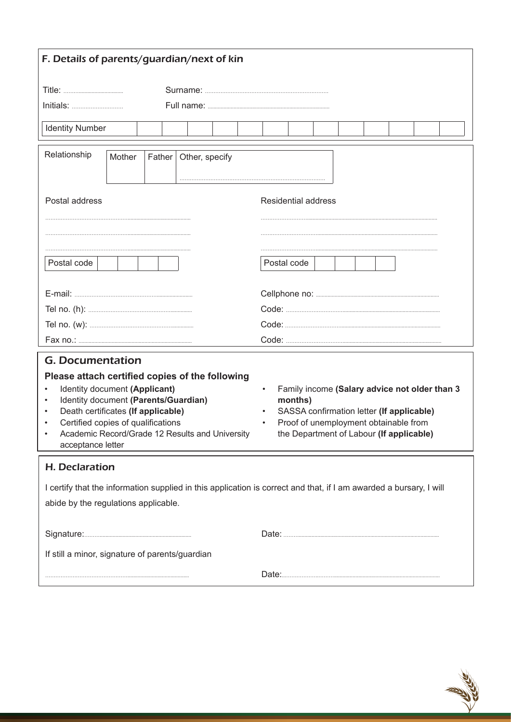| F. Details of parents/guardian/next of kin                                                                                                                                                                                                                                                                                                     |        |        |  |                |  |           |                                                                                                                                                                                            |  |  |  |  |  |  |  |  |  |
|------------------------------------------------------------------------------------------------------------------------------------------------------------------------------------------------------------------------------------------------------------------------------------------------------------------------------------------------|--------|--------|--|----------------|--|-----------|--------------------------------------------------------------------------------------------------------------------------------------------------------------------------------------------|--|--|--|--|--|--|--|--|--|
|                                                                                                                                                                                                                                                                                                                                                |        |        |  |                |  |           |                                                                                                                                                                                            |  |  |  |  |  |  |  |  |  |
|                                                                                                                                                                                                                                                                                                                                                |        |        |  |                |  |           |                                                                                                                                                                                            |  |  |  |  |  |  |  |  |  |
| <b>Identity Number</b>                                                                                                                                                                                                                                                                                                                         |        |        |  |                |  |           |                                                                                                                                                                                            |  |  |  |  |  |  |  |  |  |
| Relationship                                                                                                                                                                                                                                                                                                                                   | Mother | Father |  | Other, specify |  |           |                                                                                                                                                                                            |  |  |  |  |  |  |  |  |  |
| Postal address                                                                                                                                                                                                                                                                                                                                 |        |        |  |                |  |           | <b>Residential address</b>                                                                                                                                                                 |  |  |  |  |  |  |  |  |  |
| Postal code<br>Postal code                                                                                                                                                                                                                                                                                                                     |        |        |  |                |  |           |                                                                                                                                                                                            |  |  |  |  |  |  |  |  |  |
|                                                                                                                                                                                                                                                                                                                                                |        |        |  |                |  |           |                                                                                                                                                                                            |  |  |  |  |  |  |  |  |  |
|                                                                                                                                                                                                                                                                                                                                                |        |        |  |                |  |           |                                                                                                                                                                                            |  |  |  |  |  |  |  |  |  |
|                                                                                                                                                                                                                                                                                                                                                |        |        |  |                |  |           |                                                                                                                                                                                            |  |  |  |  |  |  |  |  |  |
|                                                                                                                                                                                                                                                                                                                                                |        |        |  |                |  |           |                                                                                                                                                                                            |  |  |  |  |  |  |  |  |  |
| <b>G. Documentation</b><br>Please attach certified copies of the following<br>Identity document (Applicant)<br>Identity document (Parents/Guardian)<br>$\bullet$<br>Death certificates (If applicable)<br>$\bullet$<br>Certified copies of qualifications<br>$\bullet$<br>Academic Record/Grade 12 Results and University<br>acceptance letter |        |        |  |                |  | $\bullet$ | Family income (Salary advice not older than 3<br>months)<br>SASSA confirmation letter (If applicable)<br>Proof of unemployment obtainable from<br>the Department of Labour (If applicable) |  |  |  |  |  |  |  |  |  |
| <b>H. Declaration</b>                                                                                                                                                                                                                                                                                                                          |        |        |  |                |  |           |                                                                                                                                                                                            |  |  |  |  |  |  |  |  |  |
| I certify that the information supplied in this application is correct and that, if I am awarded a bursary, I will<br>abide by the regulations applicable.                                                                                                                                                                                     |        |        |  |                |  |           |                                                                                                                                                                                            |  |  |  |  |  |  |  |  |  |
|                                                                                                                                                                                                                                                                                                                                                |        |        |  |                |  |           |                                                                                                                                                                                            |  |  |  |  |  |  |  |  |  |
| If still a minor, signature of parents/guardian                                                                                                                                                                                                                                                                                                |        |        |  |                |  |           |                                                                                                                                                                                            |  |  |  |  |  |  |  |  |  |
|                                                                                                                                                                                                                                                                                                                                                |        |        |  |                |  |           |                                                                                                                                                                                            |  |  |  |  |  |  |  |  |  |